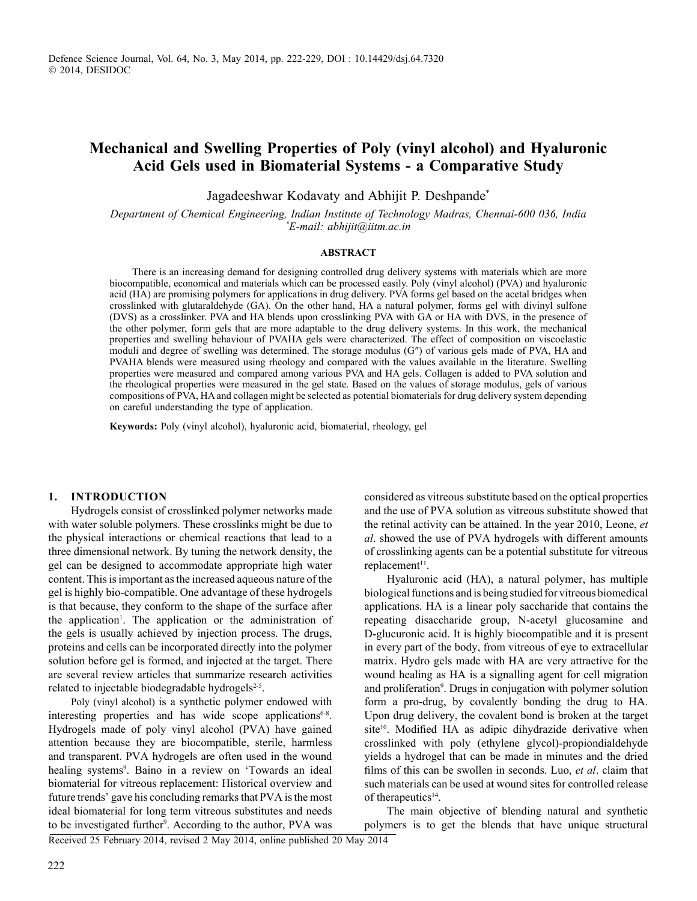# **Mechanical and Swelling Properties of Poly (vinyl alcohol) and Hyaluronic Acid Gels used in Biomaterial Systems - a Comparative Study**

Jagadeeshwar Kodavaty and Abhijit P. Deshpande\*

*Department of Chemical Engineering, Indian Institute of Technology Madras, Chennai-600 036, India \* E-mail: abhijit@iitm.ac.in*

#### **Abstract**

There is an increasing demand for designing controlled drug delivery systems with materials which are more biocompatible, economical and materials which can be processed easily. Poly (vinyl alcohol) (PVA) and hyaluronic acid (HA) are promising polymers for applications in drug delivery. PVA forms gel based on the acetal bridges when crosslinked with glutaraldehyde (GA). On the other hand, HA a natural polymer, forms gel with divinyl sulfone (DVS) as a crosslinker. PVA and HA blends upon crosslinking PVA with GA or HA with DVS, in the presence of the other polymer, form gels that are more adaptable to the drug delivery systems. In this work, the mechanical properties and swelling behaviour of PVAHA gels were characterized. The effect of composition on viscoelastic moduli and degree of swelling was determined. The storage modulus (G″) of various gels made of PVA, HA and PVAHA blends were measured using rheology and compared with the values available in the literature. Swelling properties were measured and compared among various PVA and HA gels. Collagen is added to PVA solution and the rheological properties were measured in the gel state. Based on the values of storage modulus, gels of various compositions of PVA, HA and collagen might be selected as potential biomaterials for drug delivery system depending on careful understanding the type of application.

**Keywords:** Poly (vinyl alcohol), hyaluronic acid, biomaterial, rheology, gel

#### **1. Introduction**

Hydrogels consist of crosslinked polymer networks made with water soluble polymers. These crosslinks might be due to the physical interactions or chemical reactions that lead to a three dimensional network. By tuning the network density, the gel can be designed to accommodate appropriate high water content. This is important as the increased aqueous nature of the gel is highly bio-compatible. One advantage of these hydrogels is that because, they conform to the shape of the surface after the application<sup>1</sup>. The application or the administration of the gels is usually achieved by injection process. The drugs, proteins and cells can be incorporated directly into the polymer solution before gel is formed, and injected at the target. There are several review articles that summarize research activities related to injectable biodegradable hydrogels<sup>2-5</sup>.

Poly (vinyl alcohol) is a synthetic polymer endowed with interesting properties and has wide scope applications<sup>6-8</sup>. Hydrogels made of poly vinyl alcohol (PVA) have gained attention because they are biocompatible, sterile, harmless and transparent. PVA hydrogels are often used in the wound healing systems<sup>9</sup>. Baino in a review on 'Towards an ideal biomaterial for vitreous replacement: Historical overview and future trends' gave his concluding remarks that PVA is the most ideal biomaterial for long term vitreous substitutes and needs to be investigated further<sup>9</sup>. According to the author, PVA was

considered as vitreous substitute based on the optical properties and the use of PVA solution as vitreous substitute showed that the retinal activity can be attained. In the year 2010, Leone, *et al*. showed the use of PVA hydrogels with different amounts of crosslinking agents can be a potential substitute for vitreous replacement<sup>11</sup>.

Hyaluronic acid (HA), a natural polymer, has multiple biological functions and is being studied for vitreous biomedical applications. HA is a linear poly saccharide that contains the repeating disaccharide group, N-acetyl glucosamine and D-glucuronic acid. It is highly biocompatible and it is present in every part of the body, from vitreous of eye to extracellular matrix. Hydro gels made with HA are very attractive for the wound healing as HA is a signalling agent for cell migration and proliferation<sup>9</sup>. Drugs in conjugation with polymer solution form a pro-drug, by covalently bonding the drug to HA. Upon drug delivery, the covalent bond is broken at the target site<sup>10</sup>. Modified HA as adipic dihydrazide derivative when crosslinked with poly (ethylene glycol)-propiondialdehyde yields a hydrogel that can be made in minutes and the dried films of this can be swollen in seconds. Luo, *et al*. claim that such materials can be used at wound sites for controlled release of therapeutics<sup>14</sup>.

The main objective of blending natural and synthetic polymers is to get the blends that have unique structural

Received 25 February 2014, revised 2 May 2014, online published 20 May 2014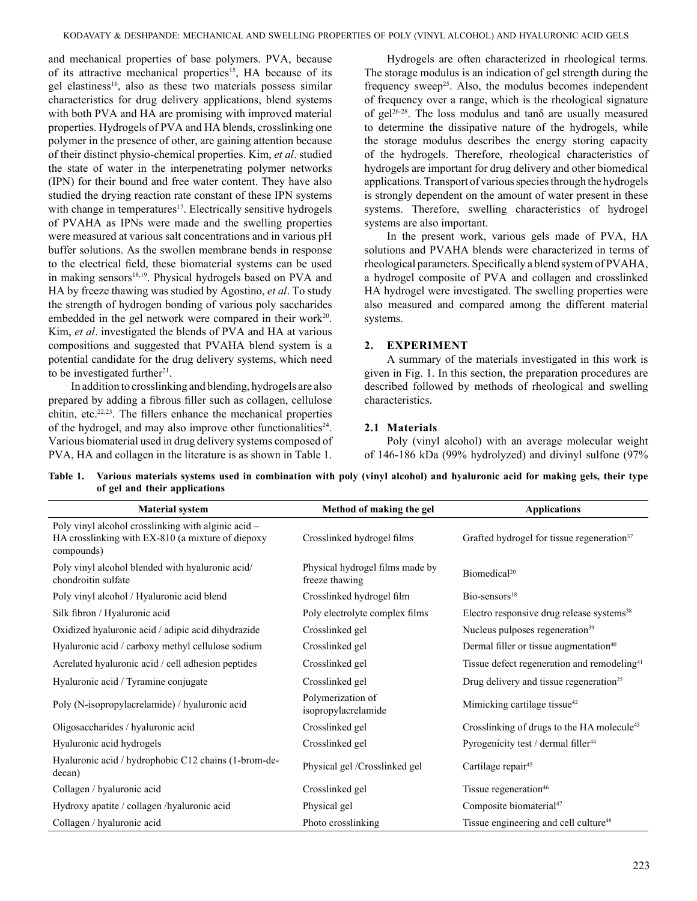and mechanical properties of base polymers. PVA, because of its attractive mechanical properties<sup>15</sup>, HA because of its gel elastiness<sup>16</sup>, also as these two materials possess similar characteristics for drug delivery applications, blend systems with both PVA and HA are promising with improved material properties. Hydrogels of PVA and HA blends, crosslinking one polymer in the presence of other, are gaining attention because of their distinct physio-chemical properties. Kim, *et al*. studied the state of water in the interpenetrating polymer networks (IPN) for their bound and free water content. They have also studied the drying reaction rate constant of these IPN systems with change in temperatures<sup>17</sup>. Electrically sensitive hydrogels of PVAHA as IPNs were made and the swelling properties were measured at various salt concentrations and in various pH buffer solutions. As the swollen membrane bends in response to the electrical field, these biomaterial systems can be used in making sensors<sup>18,19</sup>. Physical hydrogels based on PVA and HA by freeze thawing was studied by Agostino, *et al*. To study the strength of hydrogen bonding of various poly saccharides embedded in the gel network were compared in their work<sup>20</sup>. Kim, *et al*. investigated the blends of PVA and HA at various compositions and suggested that PVAHA blend system is a potential candidate for the drug delivery systems, which need to be investigated further $21$ .

In addition to crosslinking and blending, hydrogels are also prepared by adding a fibrous filler such as collagen, cellulose chitin, etc.22,23. The fillers enhance the mechanical properties of the hydrogel, and may also improve other functionalities<sup>24</sup>. Various biomaterial used in drug delivery systems composed of PVA, HA and collagen in the literature is as shown in Table 1.

Hydrogels are often characterized in rheological terms. The storage modulus is an indication of gel strength during the frequency sweep<sup>25</sup>. Also, the modulus becomes independent of frequency over a range, which is the rheological signature of gel<sup>26-28</sup>. The loss modulus and tanô are usually measured to determine the dissipative nature of the hydrogels, while the storage modulus describes the energy storing capacity of the hydrogels. Therefore, rheological characteristics of hydrogels are important for drug delivery and other biomedical applications. Transport of various species through the hydrogels is strongly dependent on the amount of water present in these systems. Therefore, swelling characteristics of hydrogel systems are also important.

In the present work, various gels made of PVA, HA solutions and PVAHA blends were characterized in terms of rheological parameters. Specifically a blend system of PVAHA, a hydrogel composite of PVA and collagen and crosslinked HA hydrogel were investigated. The swelling properties were also measured and compared among the different material systems.

### **2. Experiment**

A summary of the materials investigated in this work is given in Fig. 1. In this section, the preparation procedures are described followed by methods of rheological and swelling characteristics.

## **2.1 Materials**

Poly (vinyl alcohol) with an average molecular weight of 146-186 kDa (99% hydrolyzed) and divinyl sulfone (97%

| Table 1. Various materials systems used in combination with poly (vinyl alcohol) and hyaluronic acid for making gels, their type |  |  |
|----------------------------------------------------------------------------------------------------------------------------------|--|--|
| of gel and their applications                                                                                                    |  |  |
|                                                                                                                                  |  |  |

| <b>Material system</b>                                                                                                 | Method of making the gel                          | <b>Applications</b>                                     |
|------------------------------------------------------------------------------------------------------------------------|---------------------------------------------------|---------------------------------------------------------|
| Poly vinyl alcohol crosslinking with alginic acid -<br>HA crosslinking with EX-810 (a mixture of diepoxy<br>compounds) | Crosslinked hydrogel films                        | Grafted hydrogel for tissue regeneration <sup>37</sup>  |
| Poly vinyl alcohol blended with hyaluronic acid/<br>chondroitin sulfate                                                | Physical hydrogel films made by<br>freeze thawing | Biomedical <sup>20</sup>                                |
| Poly vinyl alcohol / Hyaluronic acid blend                                                                             | Crosslinked hydrogel film                         | $Bio-sensors18$                                         |
| Silk fibron / Hyaluronic acid                                                                                          | Poly electrolyte complex films                    | Electro responsive drug release systems <sup>38</sup>   |
| Oxidized hyaluronic acid / adipic acid dihydrazide                                                                     | Crosslinked gel                                   | Nucleus pulposes regeneration <sup>39</sup>             |
| Hyaluronic acid / carboxy methyl cellulose sodium                                                                      | Crosslinked gel                                   | Dermal filler or tissue augmentation <sup>40</sup>      |
| Acrelated hyaluronic acid / cell adhesion peptides                                                                     | Crosslinked gel                                   | Tissue defect regeneration and remodeling <sup>41</sup> |
| Hyaluronic acid / Tyramine conjugate                                                                                   | Crosslinked gel                                   | Drug delivery and tissue regeneration <sup>25</sup>     |
| Poly (N-isopropylacrelamide) / hyaluronic acid                                                                         | Polymerization of<br>isopropylacrelamide          | Mimicking cartilage tissue <sup>42</sup>                |
| Oligosaccharides / hyaluronic acid                                                                                     | Crosslinked gel                                   | Crosslinking of drugs to the HA molecule <sup>43</sup>  |
| Hyaluronic acid hydrogels                                                                                              | Crosslinked gel                                   | Pyrogenicity test / dermal filler <sup>44</sup>         |
| Hyaluronic acid / hydrophobic C12 chains (1-brom-de-<br>decan)                                                         | Physical gel /Crosslinked gel                     | Cartilage repair <sup>45</sup>                          |
| Collagen / hyaluronic acid                                                                                             | Crosslinked gel                                   | Tissue regeneration <sup>46</sup>                       |
| Hydroxy apatite / collagen /hyaluronic acid                                                                            | Physical gel                                      | Composite biomaterial <sup>47</sup>                     |
| Collagen / hyaluronic acid                                                                                             | Photo crosslinking                                | Tissue engineering and cell culture <sup>48</sup>       |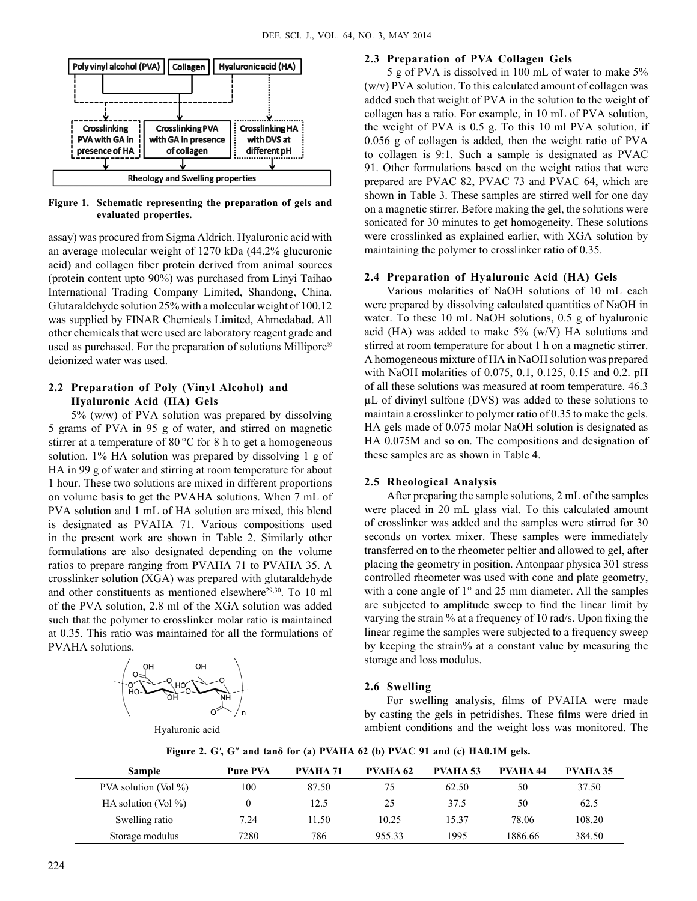

**Figure 1. Schematic representing the preparation of gels and evaluated properties.**

assay) was procured from Sigma Aldrich. Hyaluronic acid with an average molecular weight of 1270 kDa (44.2% glucuronic acid) and collagen fiber protein derived from animal sources (protein content upto 90%) was purchased from Linyi Taihao International Trading Company Limited, Shandong, China. Glutaraldehyde solution 25% with a molecular weight of 100.12 was supplied by FINAR Chemicals Limited, Ahmedabad. All other chemicals that were used are laboratory reagent grade and used as purchased. For the preparation of solutions Millipore® deionized water was used.

# **2.2 Preparation of Poly (Vinyl Alcohol) and Hyaluronic Acid (HA) Gels**

5% (w/w) of PVA solution was prepared by dissolving 5 grams of PVA in 95 g of water, and stirred on magnetic stirrer at a temperature of 80 °C for 8 h to get a homogeneous solution. 1% HA solution was prepared by dissolving 1 g of HA in 99 g of water and stirring at room temperature for about 1 hour. These two solutions are mixed in different proportions on volume basis to get the PVAHA solutions. When 7 mL of PVA solution and 1 mL of HA solution are mixed, this blend is designated as PVAHA 71. Various compositions used in the present work are shown in Table 2. Similarly other formulations are also designated depending on the volume ratios to prepare ranging from PVAHA 71 to PVAHA 35. A crosslinker solution (XGA) was prepared with glutaraldehyde and other constituents as mentioned elsewhere<sup>29,30</sup>. To 10 ml of the PVA solution, 2.8 ml of the XGA solution was added such that the polymer to crosslinker molar ratio is maintained at 0.35. This ratio was maintained for all the formulations of PVAHA solutions.



#### **2.3 Preparation of PVA Collagen Gels**

5 g of PVA is dissolved in 100 mL of water to make 5% (w/v) PVA solution. To this calculated amount of collagen was added such that weight of PVA in the solution to the weight of collagen has a ratio. For example, in 10 mL of PVA solution, the weight of PVA is 0.5 g. To this 10 ml PVA solution, if 0.056 g of collagen is added, then the weight ratio of PVA to collagen is 9:1. Such a sample is designated as PVAC 91. Other formulations based on the weight ratios that were prepared are PVAC 82, PVAC 73 and PVAC 64, which are shown in Table 3. These samples are stirred well for one day on a magnetic stirrer. Before making the gel, the solutions were sonicated for 30 minutes to get homogeneity. These solutions were crosslinked as explained earlier, with XGA solution by maintaining the polymer to crosslinker ratio of 0.35.

#### **2.4 Preparation of Hyaluronic Acid (HA) Gels**

Various molarities of NaOH solutions of 10 mL each were prepared by dissolving calculated quantities of NaOH in water. To these 10 mL NaOH solutions, 0.5 g of hyaluronic acid (HA) was added to make  $5\%$  (w/V) HA solutions and stirred at room temperature for about 1 h on a magnetic stirrer. A homogeneous mixture of HA in NaOH solution was prepared with NaOH molarities of 0.075, 0.1, 0.125, 0.15 and 0.2. pH of all these solutions was measured at room temperature. 46.3 µL of divinyl sulfone (DVS) was added to these solutions to maintain a crosslinker to polymer ratio of 0.35 to make the gels. HA gels made of 0.075 molar NaOH solution is designated as HA 0.075M and so on. The compositions and designation of these samples are as shown in Table 4.

### **2.5 Rheological Analysis**

After preparing the sample solutions, 2 mL of the samples were placed in 20 mL glass vial. To this calculated amount of crosslinker was added and the samples were stirred for 30 seconds on vortex mixer. These samples were immediately transferred on to the rheometer peltier and allowed to gel, after placing the geometry in position. Antonpaar physica 301 stress controlled rheometer was used with cone and plate geometry, with a cone angle of 1<sup>°</sup> and 25 mm diameter. All the samples are subjected to amplitude sweep to find the linear limit by varying the strain % at a frequency of 10 rad/s. Upon fixing the linear regime the samples were subjected to a frequency sweep by keeping the strain% at a constant value by measuring the storage and loss modulus.

#### **2.6 Swelling**

For swelling analysis, films of PVAHA were made by casting the gels in petridishes. These films were dried in ambient conditions and the weight loss was monitored. The

| <b>Sample</b>            | <b>Pure PVA</b> | PVAHA 71 | PVAHA 62 | <b>PVAHA 53</b> | PVAHA 44 | <b>PVAHA 35</b> |
|--------------------------|-----------------|----------|----------|-----------------|----------|-----------------|
| PVA solution (Vol $\%$ ) | 100             | 87.50    | 75       | 62.50           | 50       | 37.50           |
| HA solution (Vol $\%$ )  |                 | 12.5     | 25       | 37.5            | 50       | 62.5            |
| Swelling ratio           | 7.24            | 11.50    | 10.25    | 15.37           | 78.06    | 108.20          |
| Storage modulus          | 7280            | 786      | 955.33   | 1995            | 1886.66  | 384.50          |

**Figure 2. G***'***, G**″ **and tanδ for (a) PVAHA 62 (b) PVAC 91 and (c) HA0.1M gels.**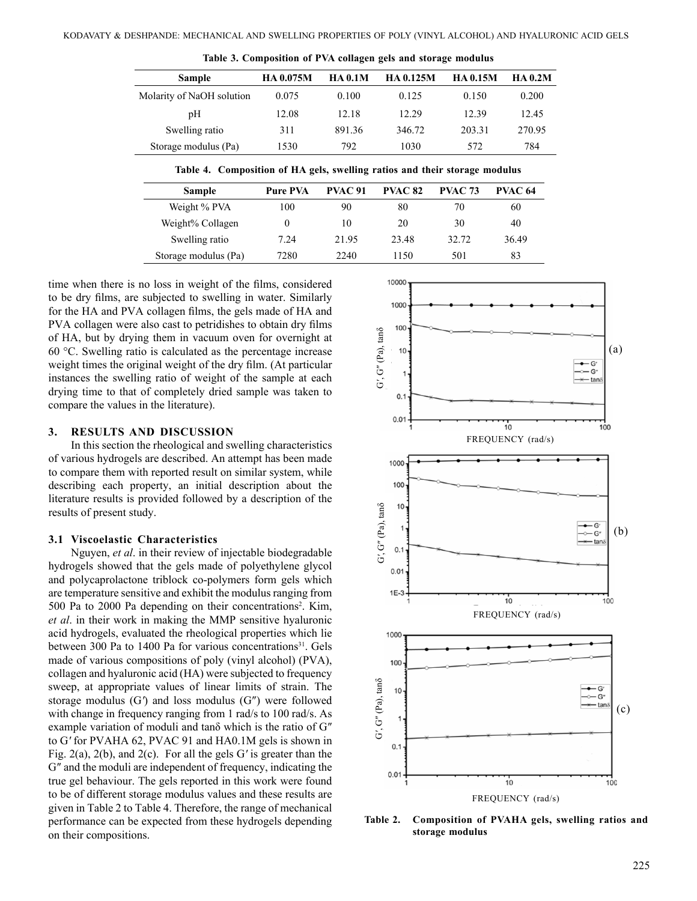| <b>Sample</b>             | HA 0.075M | <b>HA 0.1M</b> | <b>HA 0.125M</b> | <b>HA 0.15M</b> | <b>HA 0.2M</b> |
|---------------------------|-----------|----------------|------------------|-----------------|----------------|
| Molarity of NaOH solution | 0.075     | 0.100          | 0.125            | 0.150           | 0.200          |
| pH                        | 12.08     | 12.18          | 12.29            | 12.39           | 12.45          |
| Swelling ratio            | 311       | 891.36         | 346.72           | 203.31          | 270.95         |
| Storage modulus (Pa)      | 1530      | 792            | 1030             | 572             | 784            |

**Table 3. Composition of PVA collagen gels and storage modulus**

|  | Table 4. Composition of HA gels, swelling ratios and their storage modulus |  |  |  |  |  |  |  |  |
|--|----------------------------------------------------------------------------|--|--|--|--|--|--|--|--|
|--|----------------------------------------------------------------------------|--|--|--|--|--|--|--|--|

| <b>Sample</b>        | <b>Pure PVA</b> | PVAC 91 | <b>PVAC 82</b> | <b>PVAC 73</b> | PVAC 64 |
|----------------------|-----------------|---------|----------------|----------------|---------|
| Weight % PVA         | 100             | 90      | 80             | 70             | 60      |
| Weight% Collagen     |                 | 10      | 20             | 30             | 40      |
| Swelling ratio       | 7.24            | 21.95   | 23.48          | 32.72          | 36.49   |
| Storage modulus (Pa) | 7280            | 2240    | 1150           | 501            | 83      |

time when there is no loss in weight of the films, considered to be dry films, are subjected to swelling in water. Similarly for the HA and PVA collagen films, the gels made of HA and PVA collagen were also cast to petridishes to obtain dry films of HA, but by drying them in vacuum oven for overnight at 60 °C. Swelling ratio is calculated as the percentage increase weight times the original weight of the dry film. (At particular instances the swelling ratio of weight of the sample at each drying time to that of completely dried sample was taken to compare the values in the literature).

#### **3. Results and discussion**

In this section the rheological and swelling characteristics of various hydrogels are described. An attempt has been made to compare them with reported result on similar system, while describing each property, an initial description about the literature results is provided followed by a description of the results of present study.

#### **3.1 Viscoelastic Characteristics**

Nguyen, *et al*. in their review of injectable biodegradable hydrogels showed that the gels made of polyethylene glycol and polycaprolactone triblock co-polymers form gels which are temperature sensitive and exhibit the modulus ranging from 500 Pa to 2000 Pa depending on their concentrations<sup>2</sup>. Kim, *et al*. in their work in making the MMP sensitive hyaluronic acid hydrogels, evaluated the rheological properties which lie between 300 Pa to 1400 Pa for various concentrations<sup>31</sup>. Gels made of various compositions of poly (vinyl alcohol) (PVA), collagen and hyaluronic acid (HA) were subjected to frequency sweep, at appropriate values of linear limits of strain. The storage modulus (G*'*) and loss modulus (G″) were followed with change in frequency ranging from 1 rad/s to 100 rad/s. As example variation of moduli and tanδ which is the ratio of G″ to G*'* for PVAHA 62, PVAC 91 and HA0.1M gels is shown in Fig. 2(a), 2(b), and 2(c). For all the gels G*'* is greater than the G″ and the moduli are independent of frequency, indicating the true gel behaviour. The gels reported in this work were found to be of different storage modulus values and these results are given in Table 2 to Table 4. Therefore, the range of mechanical performance can be expected from these hydrogels depending on their compositions.



**Table 2. Composition of PVAHA gels, swelling ratios and storage modulus**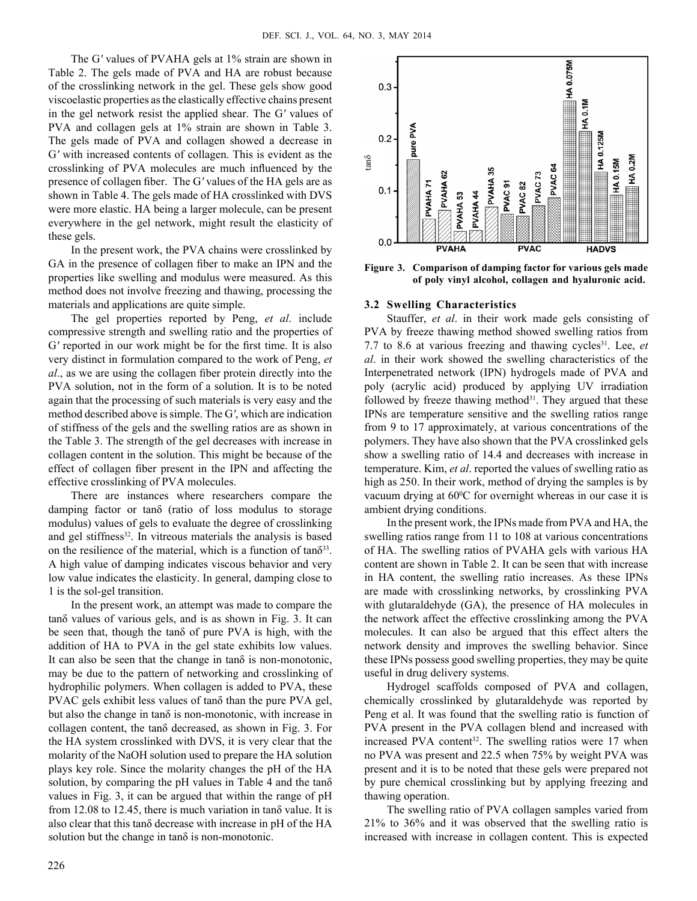The G*'* values of PVAHA gels at 1% strain are shown in Table 2. The gels made of PVA and HA are robust because of the crosslinking network in the gel. These gels show good viscoelastic properties as the elastically effective chains present in the gel network resist the applied shear. The G*'* values of PVA and collagen gels at 1% strain are shown in Table 3. The gels made of PVA and collagen showed a decrease in G*'* with increased contents of collagen. This is evident as the crosslinking of PVA molecules are much influenced by the presence of collagen fiber. The G*'* values of the HA gels are as shown in Table 4. The gels made of HA crosslinked with DVS were more elastic. HA being a larger molecule, can be present everywhere in the gel network, might result the elasticity of these gels.

In the present work, the PVA chains were crosslinked by GA in the presence of collagen fiber to make an IPN and the properties like swelling and modulus were measured. As this method does not involve freezing and thawing, processing the materials and applications are quite simple.

The gel properties reported by Peng, *et al*. include compressive strength and swelling ratio and the properties of G*'* reported in our work might be for the first time. It is also very distinct in formulation compared to the work of Peng, *et al*., as we are using the collagen fiber protein directly into the PVA solution, not in the form of a solution. It is to be noted again that the processing of such materials is very easy and the method described above is simple. The G*'*, which are indication of stiffness of the gels and the swelling ratios are as shown in the Table 3. The strength of the gel decreases with increase in collagen content in the solution. This might be because of the effect of collagen fiber present in the IPN and affecting the effective crosslinking of PVA molecules.

There are instances where researchers compare the damping factor or tanδ (ratio of loss modulus to storage modulus) values of gels to evaluate the degree of crosslinking and gel stiffness<sup>32</sup>. In vitreous materials the analysis is based on the resilience of the material, which is a function of  $tan\delta^{33}$ . A high value of damping indicates viscous behavior and very low value indicates the elasticity. In general, damping close to 1 is the sol-gel transition.

In the present work, an attempt was made to compare the tanδ values of various gels, and is as shown in Fig. 3. It can be seen that, though the tanδ of pure PVA is high, with the addition of HA to PVA in the gel state exhibits low values. It can also be seen that the change in tanδ is non-monotonic, may be due to the pattern of networking and crosslinking of hydrophilic polymers. When collagen is added to PVA, these PVAC gels exhibit less values of tanδ than the pure PVA gel, but also the change in tanδ is non-monotonic, with increase in collagen content, the tanδ decreased, as shown in Fig. 3. For the HA system crosslinked with DVS, it is very clear that the molarity of the NaOH solution used to prepare the HA solution plays key role. Since the molarity changes the pH of the HA solution, by comparing the pH values in Table 4 and the tanδ values in Fig. 3, it can be argued that within the range of pH from 12.08 to 12.45, there is much variation in tanδ value. It is also clear that this tanδ decrease with increase in pH of the HA solution but the change in tanδ is non-monotonic.



**Figure 3. Comparison of damping factor for various gels made of poly vinyl alcohol, collagen and hyaluronic acid.**

#### **3.2 Swelling Characteristics**

Stauffer, *et al*. in their work made gels consisting of PVA by freeze thawing method showed swelling ratios from 7.7 to 8.6 at various freezing and thawing cycles<sup>31</sup>. Lee, *et al*. in their work showed the swelling characteristics of the Interpenetrated network (IPN) hydrogels made of PVA and poly (acrylic acid) produced by applying UV irradiation followed by freeze thawing method $31$ . They argued that these IPNs are temperature sensitive and the swelling ratios range from 9 to 17 approximately, at various concentrations of the polymers. They have also shown that the PVA crosslinked gels show a swelling ratio of 14.4 and decreases with increase in temperature. Kim, *et al*. reported the values of swelling ratio as high as 250. In their work, method of drying the samples is by vacuum drying at 60°C for overnight whereas in our case it is ambient drying conditions.

In the present work, the IPNs made from PVA and HA, the swelling ratios range from 11 to 108 at various concentrations of HA. The swelling ratios of PVAHA gels with various HA content are shown in Table 2. It can be seen that with increase in HA content, the swelling ratio increases. As these IPNs are made with crosslinking networks, by crosslinking PVA with glutaraldehyde (GA), the presence of HA molecules in the network affect the effective crosslinking among the PVA molecules. It can also be argued that this effect alters the network density and improves the swelling behavior. Since these IPNs possess good swelling properties, they may be quite useful in drug delivery systems.

Hydrogel scaffolds composed of PVA and collagen, chemically crosslinked by glutaraldehyde was reported by Peng et al. It was found that the swelling ratio is function of PVA present in the PVA collagen blend and increased with increased PVA content<sup>32</sup>. The swelling ratios were 17 when no PVA was present and 22.5 when 75% by weight PVA was present and it is to be noted that these gels were prepared not by pure chemical crosslinking but by applying freezing and thawing operation.

The swelling ratio of PVA collagen samples varied from 21% to 36% and it was observed that the swelling ratio is increased with increase in collagen content. This is expected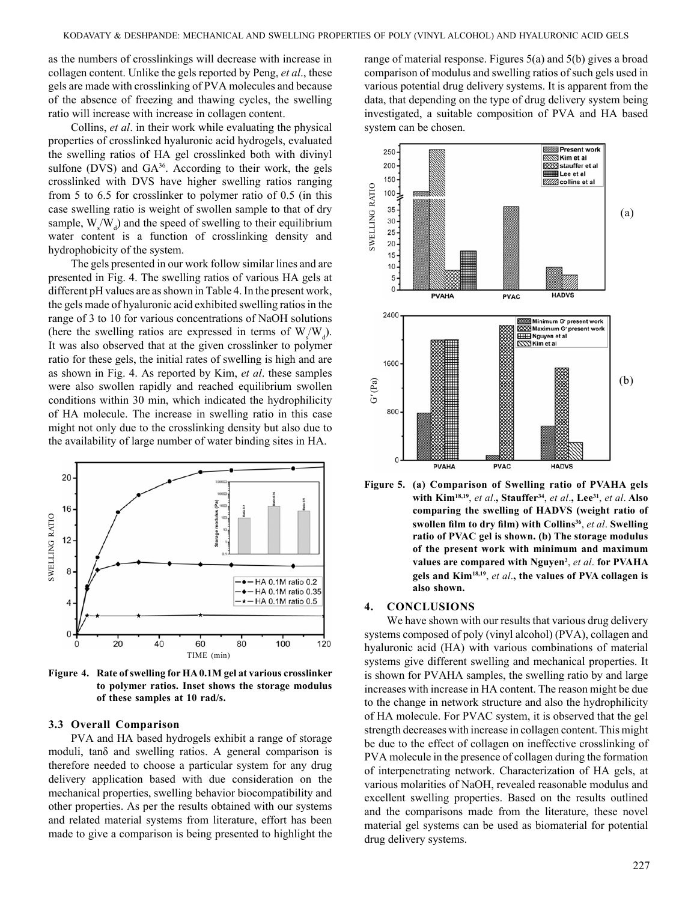as the numbers of crosslinkings will decrease with increase in collagen content. Unlike the gels reported by Peng, *et al*., these gels are made with crosslinking of PVA molecules and because of the absence of freezing and thawing cycles, the swelling ratio will increase with increase in collagen content.

Collins, *et al*. in their work while evaluating the physical properties of crosslinked hyaluronic acid hydrogels, evaluated the swelling ratios of HA gel crosslinked both with divinyl sulfone (DVS) and GA<sup>36</sup>. According to their work, the gels crosslinked with DVS have higher swelling ratios ranging from 5 to 6.5 for crosslinker to polymer ratio of 0.5 (in this case swelling ratio is weight of swollen sample to that of dry sample,  $W_s/W_d$ ) and the speed of swelling to their equilibrium water content is a function of crosslinking density and hydrophobicity of the system.

The gels presented in our work follow similar lines and are presented in Fig. 4. The swelling ratios of various HA gels at different pH values are as shown in Table 4. In the present work, the gels made of hyaluronic acid exhibited swelling ratios in the range of 3 to 10 for various concentrations of NaOH solutions (here the swelling ratios are expressed in terms of  $W_s/W_d$ ). It was also observed that at the given crosslinker to polymer ratio for these gels, the initial rates of swelling is high and are as shown in Fig. 4. As reported by Kim, *et al*. these samples were also swollen rapidly and reached equilibrium swollen conditions within 30 min, which indicated the hydrophilicity of HA molecule. The increase in swelling ratio in this case might not only due to the crosslinking density but also due to the availability of large number of water binding sites in HA.



**Figure 4. Rate of swelling for HA 0.1M gel at various crosslinker to polymer ratios. Inset shows the storage modulus of these samples at 10 rad/s.**

#### **3.3 Overall Comparison**

PVA and HA based hydrogels exhibit a range of storage moduli, tanδ and swelling ratios. A general comparison is therefore needed to choose a particular system for any drug delivery application based with due consideration on the mechanical properties, swelling behavior biocompatibility and other properties. As per the results obtained with our systems and related material systems from literature, effort has been made to give a comparison is being presented to highlight the range of material response. Figures 5(a) and 5(b) gives a broad comparison of modulus and swelling ratios of such gels used in various potential drug delivery systems. It is apparent from the data, that depending on the type of drug delivery system being investigated, a suitable composition of PVA and HA based system can be chosen.



**Figure 5. (a) Comparison of Swelling ratio of PVAHA gels with Kim18,19**, *et al*.**, Stauffer34**, *et al*.**, Lee31**, *et al*. **Also comparing the swelling of HADVS (weight ratio of swollen film to dry film) with Collins<sup>36</sup>**, *et al*. **Swelling ratio of PVAC gel is shown. (b) The storage modulus of the present work with minimum and maximum values are compared with Nguyen2** , *et al*. **for PVAHA gels and Kim18,19**, *et al*.**, the values of PVA collagen is also shown.**

### **4. Conclusions**

We have shown with our results that various drug delivery systems composed of poly (vinyl alcohol) (PVA), collagen and hyaluronic acid (HA) with various combinations of material systems give different swelling and mechanical properties. It is shown for PVAHA samples, the swelling ratio by and large increases with increase in HA content. The reason might be due to the change in network structure and also the hydrophilicity of HA molecule. For PVAC system, it is observed that the gel strength decreases with increase in collagen content. This might be due to the effect of collagen on ineffective crosslinking of PVA molecule in the presence of collagen during the formation of interpenetrating network. Characterization of HA gels, at various molarities of NaOH, revealed reasonable modulus and excellent swelling properties. Based on the results outlined and the comparisons made from the literature, these novel material gel systems can be used as biomaterial for potential drug delivery systems.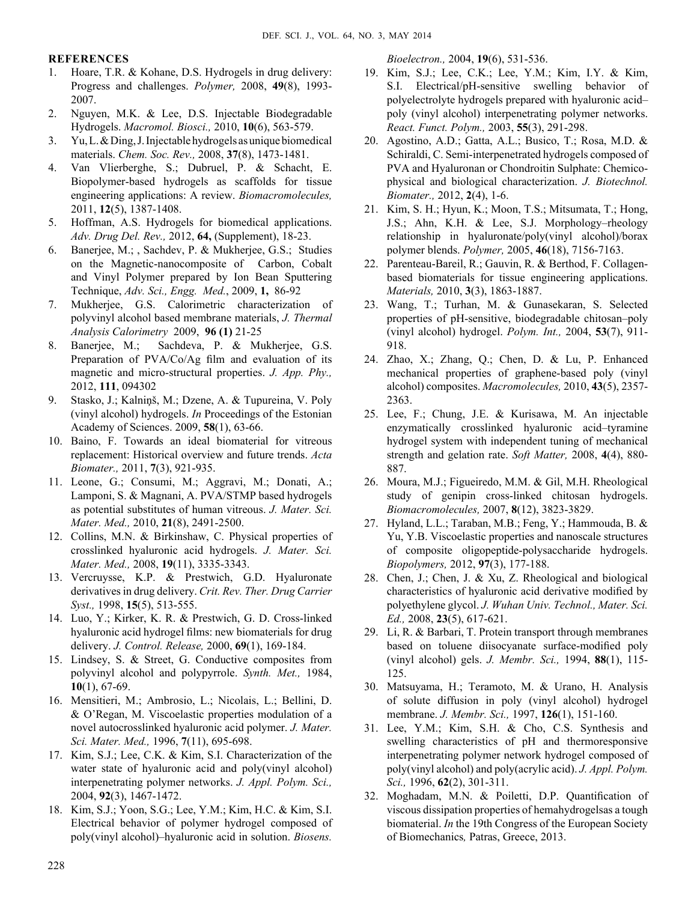# **References**

- 1. Hoare, T.R. & Kohane, D.S. Hydrogels in drug delivery: Progress and challenges. *Polymer,* 2008, **49**(8), 1993- 2007.
- 2. Nguyen, M.K. & Lee, D.S. Injectable Biodegradable Hydrogels. *Macromol. Biosci.,* 2010, **10**(6), 563-579.
- 3. Yu, L. & Ding, J. Injectable hydrogels as unique biomedical materials. *Chem. Soc. Rev.,* 2008, **37**(8), 1473-1481.
- 4. Van Vlierberghe, S.; Dubruel, P. & Schacht, E. Biopolymer-based hydrogels as scaffolds for tissue engineering applications: A review. *Biomacromolecules,*  2011, **12**(5), 1387-1408.
- 5. Hoffman, A.S. Hydrogels for biomedical applications. *Adv. Drug Del. Rev.,* 2012, **64,** (Supplement), 18-23.
- 6. Banerjee, M.; , Sachdev, P. & Mukherjee, G.S.; Studies on the Magnetic-nanocomposite of Carbon, Cobalt and Vinyl Polymer prepared by Ion Bean Sputtering Technique, *Adv. Sci., Engg. Med.*, 2009, **1,** 86-92
- 7. Mukherjee, G.S. Calorimetric characterization of polyvinyl alcohol based membrane materials, *J. Thermal Analysis Calorimetry* 2009, **96 (1)** 21-25
- 8.Banerjee, M.; Sachdeva, P. & Mukherjee, G.S. Preparation of PVA/Co/Ag film and evaluation of its magnetic and micro-structural properties. *J. App. Phy.,* 2012, **111**, 094302
- 9. Stasko, J.; Kalniņš, M.; Dzene, A. & Tupureina, V. Poly (vinyl alcohol) hydrogels. *In* Proceedings of the Estonian Academy of Sciences. 2009, **58**(1), 63-66.
- 10. Baino, F. Towards an ideal biomaterial for vitreous replacement: Historical overview and future trends. *Acta Biomater.,* 2011, **7**(3), 921-935.
- 11. Leone, G.; Consumi, M.; Aggravi, M.; Donati, A.; Lamponi, S. & Magnani, A. PVA/STMP based hydrogels as potential substitutes of human vitreous. *J. Mater. Sci. Mater. Med.,* 2010, **21**(8), 2491-2500.
- 12. Collins, M.N. & Birkinshaw, C. Physical properties of crosslinked hyaluronic acid hydrogels. *J. Mater. Sci. Mater. Med.,* 2008, **19**(11), 3335-3343.
- 13. Vercruysse, K.P. & Prestwich, G.D. Hyaluronate derivatives in drug delivery. *Crit. Rev. Ther. Drug Carrier Syst.,* 1998, **15**(5), 513-555.
- 14. Luo, Y.; Kirker, K. R. & Prestwich, G. D. Cross-linked hyaluronic acid hydrogel films: new biomaterials for drug delivery. *J. Control. Release,* 2000, **69**(1), 169-184.
- 15. Lindsey, S. & Street, G. Conductive composites from polyvinyl alcohol and polypyrrole. *Synth. Met.,* 1984, **10**(1), 67-69.
- 16. Mensitieri, M.; Ambrosio, L.; Nicolais, L.; Bellini, D. & O'Regan, M. Viscoelastic properties modulation of a novel autocrosslinked hyaluronic acid polymer. *J. Mater. Sci. Mater. Med.,* 1996, **7**(11), 695-698.
- 17. Kim, S.J.; Lee, C.K. & Kim, S.I. Characterization of the water state of hyaluronic acid and poly(vinyl alcohol) interpenetrating polymer networks. *J. Appl. Polym. Sci.,*  2004, **92**(3), 1467-1472.
- 18. Kim, S.J.; Yoon, S.G.; Lee, Y.M.; Kim, H.C. & Kim, S.I. Electrical behavior of polymer hydrogel composed of poly(vinyl alcohol)–hyaluronic acid in solution. *Biosens.*

*Bioelectron.,* 2004, **19**(6), 531-536.

- 19. Kim, S.J.; Lee, C.K.; Lee, Y.M.; Kim, I.Y. & Kim, S.I. Electrical/pH-sensitive swelling behavior of polyelectrolyte hydrogels prepared with hyaluronic acid– poly (vinyl alcohol) interpenetrating polymer networks. *React. Funct. Polym.,* 2003, **55**(3), 291-298.
- 20. Agostino, A.D.; Gatta, A.L.; Busico, T.; Rosa, M.D. & Schiraldi, C. Semi-interpenetrated hydrogels composed of PVA and Hyaluronan or Chondroitin Sulphate: Chemicophysical and biological characterization. *J. Biotechnol. Biomater.,* 2012, **2**(4), 1-6.
- 21. Kim, S. H.; Hyun, K.; Moon, T.S.; Mitsumata, T.; Hong, J.S.; Ahn, K.H. & Lee, S.J. Morphology–rheology relationship in hyaluronate/poly(vinyl alcohol)/borax polymer blends. *Polymer,* 2005, **46**(18), 7156-7163.
- 22. Parenteau-Bareil, R.; Gauvin, R. & Berthod, F. Collagenbased biomaterials for tissue engineering applications. *Materials,* 2010, **3**(3), 1863-1887.
- 23. Wang, T.; Turhan, M. & Gunasekaran, S. Selected properties of pH-sensitive, biodegradable chitosan–poly (vinyl alcohol) hydrogel. *Polym. Int.,* 2004, **53**(7), 911- 918.
- 24. Zhao, X.; Zhang, Q.; Chen, D. & Lu, P. Enhanced mechanical properties of graphene-based poly (vinyl alcohol) composites. *Macromolecules,* 2010, **43**(5), 2357- 2363.
- 25. Lee, F.; Chung, J.E. & Kurisawa, M. An injectable enzymatically crosslinked hyaluronic acid–tyramine hydrogel system with independent tuning of mechanical strength and gelation rate. *Soft Matter,* 2008, **4**(4), 880- 887.
- 26. Moura, M.J.; Figueiredo, M.M. & Gil, M.H. Rheological study of genipin cross-linked chitosan hydrogels. *Biomacromolecules,* 2007, **8**(12), 3823-3829.
- 27. Hyland, L.L.; Taraban, M.B.; Feng, Y.; Hammouda, B. & Yu, Y.B. Viscoelastic properties and nanoscale structures of composite oligopeptide-polysaccharide hydrogels. *Biopolymers,* 2012, **97**(3), 177-188.
- 28. Chen, J.; Chen, J. & Xu, Z. Rheological and biological characteristics of hyaluronic acid derivative modified by polyethylene glycol. *J. Wuhan Univ. Technol., Mater. Sci. Ed.,* 2008, **23**(5), 617-621.
- 29. Li, R. & Barbari, T. Protein transport through membranes based on toluene diisocyanate surface-modified poly (vinyl alcohol) gels. *J. Membr. Sci.,* 1994, **88**(1), 115- 125.
- 30. Matsuyama, H.; Teramoto, M. & Urano, H. Analysis of solute diffusion in poly (vinyl alcohol) hydrogel membrane. *J. Membr. Sci.,* 1997, **126**(1), 151-160.
- 31. Lee, Y.M.; Kim, S.H. & Cho, C.S. Synthesis and swelling characteristics of pH and thermoresponsive interpenetrating polymer network hydrogel composed of poly(vinyl alcohol) and poly(acrylic acid). *J. Appl. Polym. Sci.,* 1996, **62**(2), 301-311.
- 32. Moghadam, M.N. & Poiletti, D.P. Quantification of viscous dissipation properties of hemahydrogelsas a tough biomaterial. *In* the 19th Congress of the European Society of Biomechanics*,* Patras, Greece, 2013.